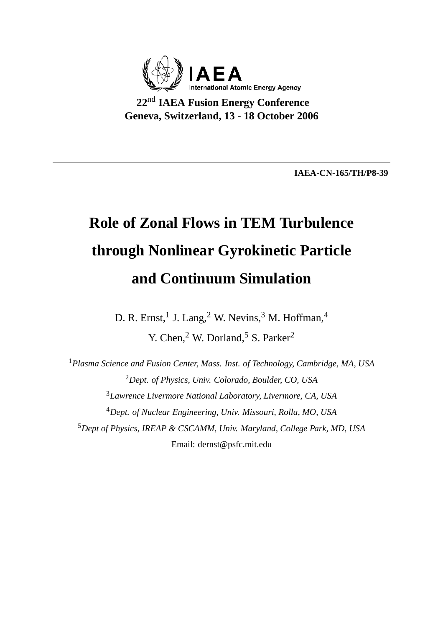

**22**nd **IAEA Fusion Energy Conference Geneva, Switzerland, 13 - 18 October 2006**

**IAEA-CN-165/TH/P8-39**

# **Role of Zonal Flows in TEM Turbulence through Nonlinear Gyrokinetic Particle and Continuum Simulation**

D. R. Ernst, <sup>1</sup> J. Lang, <sup>2</sup> W. Nevins, <sup>3</sup> M. Hoffman, <sup>4</sup> Y. Chen,<sup>2</sup> W. Dorland,<sup>5</sup> S. Parker<sup>2</sup>

*Plasma Science and Fusion Center, Mass. Inst. of Technology, Cambridge, MA, USA Dept. of Physics, Univ. Colorado, Boulder, CO, USA Lawrence Livermore National Laboratory, Livermore, CA, USA Dept. of Nuclear Engineering, Univ. Missouri, Rolla, MO, USA Dept of Physics, IREAP & CSCAMM, Univ. Maryland, College Park, MD, USA* Email: dernst@psfc.mit.edu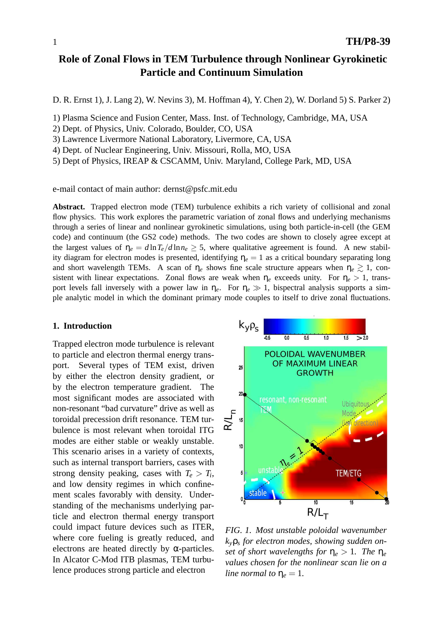## **Role of Zonal Flows in TEM Turbulence through Nonlinear Gyrokinetic Particle and Continuum Simulation**

D. R. Ernst 1), J. Lang 2), W. Nevins 3), M. Hoffman 4), Y. Chen 2), W. Dorland 5) S. Parker 2)

1) Plasma Science and Fusion Center, Mass. Inst. of Technology, Cambridge, MA, USA

- 2) Dept. of Physics, Univ. Colorado, Boulder, CO, USA
- 3) Lawrence Livermore National Laboratory, Livermore, CA, USA
- 4) Dept. of Nuclear Engineering, Univ. Missouri, Rolla, MO, USA
- 5) Dept of Physics, IREAP & CSCAMM, Univ. Maryland, College Park, MD, USA

e-mail contact of main author: dernst@psfc.mit.edu

**Abstract.** Trapped electron mode (TEM) turbulence exhibits a rich variety of collisional and zonal flow physics. This work explores the parametric variation of zonal flows and underlying mechanisms through a series of linear and nonlinear gyrokinetic simulations, using both particle-in-cell (the GEM code) and continuum (the GS2 code) methods. The two codes are shown to closely agree except at the largest values of  $\eta_e = d \ln T_e / d \ln n_e \geq 5$ , where qualitative agreement is found. A new stability diagram for electron modes is presented, identifying  $\eta_e = 1$  as a critical boundary separating long and short wavelength TEMs. A scan of  $\eta_e$  shows fine scale structure appears when  $\eta_e \gtrsim 1$ , consistent with linear expectations. Zonal flows are weak when  $\eta_e$  exceeds unity. For  $\eta_e > 1$ , transport levels fall inversely with a power law in  $\eta_e$ . For  $\eta_e \gg 1$ , bispectral analysis supports a simple analytic model in which the dominant primary mode couples to itself to drive zonal fluctuations.

#### **1. Introduction**

Trapped electron mode turbulence is relevant to particle and electron thermal energy transport. Several types of TEM exist, driven by either the electron density gradient, or by the electron temperature gradient. The most significant modes are associated with non-resonant "bad curvature" drive as well as toroidal precession drift resonance. TEM turbulence is most relevant when toroidal ITG modes are either stable or weakly unstable. This scenario arises in a variety of contexts, such as internal transport barriers, cases with strong density peaking, cases with  $T_e > T_i$ , and low density regimes in which confinement scales favorably with density. Understanding of the mechanisms underlying particle and electron thermal energy transport could impact future devices such as ITER, where core fueling is greatly reduced, and electrons are heated directly by  $\alpha$ -particles. In Alcator C-Mod ITB plasmas, TEM turbulence produces strong particle and electron



*FIG. 1. Most unstable poloidal wavenumber ky*ρ*<sup>s</sup> for electron modes, showing sudden onset of short wavelengths for*  $\eta_e > 1$ *. The*  $\eta_e$ *values chosen for the nonlinear scan lie on a line normal to*  $\eta_e = 1$ *.*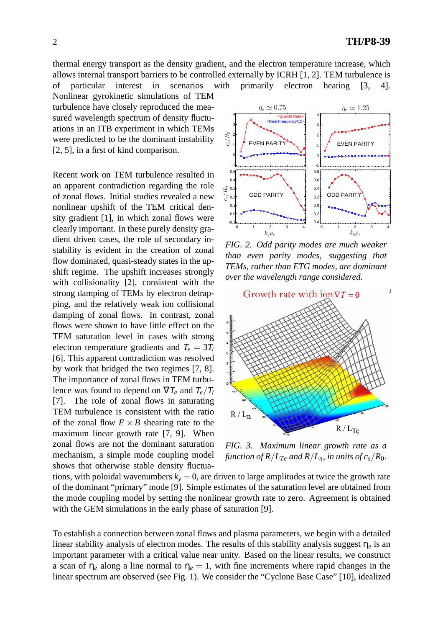thermal energy transport as the density gradient, and the electron temperature increase, which allows internal transport barriers to be controlled externally by ICRH [1, 2]. TEM turbulence is

of particular interest in scenarios with primarily electron heating [3, 4]. Nonlinear gyrokinetic simulations of TEM turbulence have closely reproduced the measured wavelength spectrum of density fluctuations in an ITB experiment in which TEMs were predicted to be the dominant instability [2, 5], in a first of kind comparison.

Recent work on TEM turbulence resulted in an apparent contradiction regarding the role of zonal flows. Initial studies revealed a new nonlinear upshift of the TEM critical density gradient [1], in which zonal flows were clearly important. In these purely density gradient driven cases, the role of secondary instability is evident in the creation of zonal flow dominated, quasi-steady states in the upshift regime. The upshift increases strongly with collisionality [2], consistent with the strong damping of TEMs by electron detrapping, and the relatively weak ion collisional damping of zonal flows. In contrast, zonal flows were shown to have little effect on the TEM saturation level in cases with strong electron temperature gradients and  $T_e = 3T_i$ [6]. This apparent contradiction was resolved by work that bridged the two regimes [7, 8]. The importance of zonal flows in TEM turbulence was found to depend on  $\nabla T_e$  and  $T_e/T_i$ [7]. The role of zonal flows in saturating TEM turbulence is consistent with the ratio of the zonal flow  $E \times B$  shearing rate to the maximum linear growth rate [7, 9]. When zonal flows are not the dominant saturation mechanism, a simple mode coupling model shows that otherwise stable density fluctua-



*FIG. 2. Odd parity modes are much weaker than even parity modes, suggesting that TEMs, rather than ETG modes, are dominant over the wavelength range considered.*



*FIG. 3. Maximum linear growth rate as a function of R*/ $L_{Te}$  *and R*/ $L_n$ *, in units of c<sub>s</sub>/R*<sub>0</sub>*.* 

tions, with poloidal wavenumbers  $k_y = 0$ , are driven to large amplitudes at twice the growth rate of the dominant "primary" mode [9]. Simple estimates of the saturation level are obtained from the mode coupling model by setting the nonlinear growth rate to zero. Agreement is obtained with the GEM simulations in the early phase of saturation [9].

To establish a connection between zonal flows and plasma parameters, we begin with a detailed linear stability analysis of electron modes. The results of this stability analysis suggest η*<sup>e</sup>* is an important parameter with a critical value near unity. Based on the linear results, we construct a scan of  $\eta_e$  along a line normal to  $\eta_e = 1$ , with fine increments where rapid changes in the linear spectrum are observed (see Fig. 1). We consider the "Cyclone Base Case" [10], idealized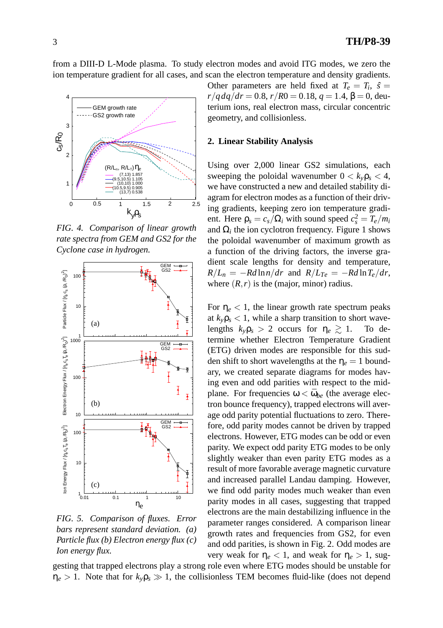from a DIII-D L-Mode plasma. To study electron modes and avoid ITG modes, we zero the ion temperature gradient for all cases, and scan the electron temperature and density gradients.



*FIG. 4. Comparison of linear growth rate spectra from GEM and GS2 for the Cyclone case in hydrogen.*



*FIG. 5. Comparison of fluxes. Error bars represent standard deviation. (a) Particle flux (b) Electron energy flux (c) Ion energy flux.*

Other parameters are held fixed at  $T_e = T_i$ ,  $\hat{s} =$  $r/qdq/dr = 0.8$ ,  $r/R0 = 0.18$ ,  $q = 1.4$ ,  $\beta = 0$ , deuterium ions, real electron mass, circular concentric geometry, and collisionless.

## **2. Linear Stability Analysis**

Using over 2,000 linear GS2 simulations, each sweeping the poloidal wavenumber  $0 < k_{\nu} \rho_s < 4$ , we have constructed a new and detailed stability diagram for electron modes as a function of their driving gradients, keeping zero ion temperature gradient. Here  $\rho_s = c_s / \Omega_i$  with sound speed  $c_s^2 = T_e / m_i$ and  $\Omega_i$  the ion cyclotron frequency. Figure 1 shows the poloidal wavenumber of maximum growth as a function of the driving factors, the inverse gradient scale lengths for density and temperature,  $R/L_n = -Rd \ln n/dr$  and  $R/L_{Te} = -Rd \ln T_e/dr$ , where  $(R, r)$  is the (major, minor) radius.

For  $\eta_e$  < 1, the linear growth rate spectrum peaks at  $k_{y}$  $\rho_{s}$  < 1, while a sharp transition to short wavelengths  $k_y \rho_s > 2$  occurs for  $\eta_e \gtrsim 1$ . To determine whether Electron Temperature Gradient (ETG) driven modes are responsible for this sudden shift to short wavelengths at the  $\eta_e = 1$  boundary, we created separate diagrams for modes having even and odd parities with respect to the midplane. For frequencies  $\omega < \bar{\omega}_{be}$  (the average electron bounce frequency), trapped electrons will average odd parity potential fluctuations to zero. Therefore, odd parity modes cannot be driven by trapped electrons. However, ETG modes can be odd or even parity. We expect odd parity ETG modes to be only slightly weaker than even parity ETG modes as a result of more favorable average magnetic curvature and increased parallel Landau damping. However, we find odd parity modes much weaker than even parity modes in all cases, suggesting that trapped electrons are the main destabilizing influence in the parameter ranges considered. A comparison linear growth rates and frequencies from GS2, for even and odd parities, is shown in Fig. 2. Odd modes are very weak for  $η_e < 1$ , and weak for  $η_e > 1$ , sug-

gesting that trapped electrons play a strong role even where ETG modes should be unstable for  $\eta_e > 1$ . Note that for  $k_y \rho_s \gg 1$ , the collisionless TEM becomes fluid-like (does not depend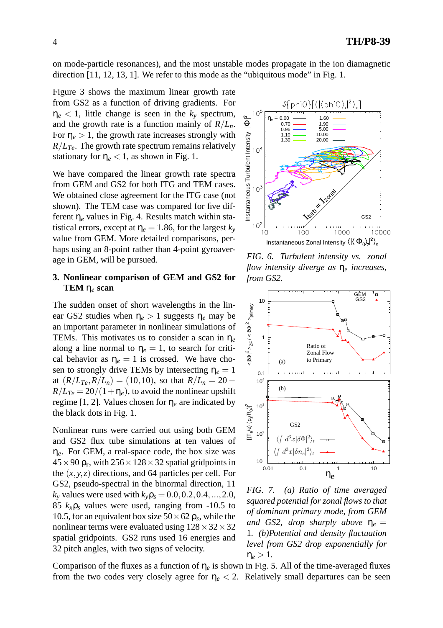on mode-particle resonances), and the most unstable modes propagate in the ion diamagnetic direction  $[11, 12, 13, 1]$ . We refer to this mode as the "ubiquitous mode" in Fig. 1.

Figure 3 shows the maximum linear growth rate from GS2 as a function of driving gradients. For  $\eta_e$  < 1, little change is seen in the  $k_v$  spectrum, and the growth rate is a function mainly of  $R/L_n$ . For  $\eta_e > 1$ , the growth rate increases strongly with  $R/L_{Te}$ . The growth rate spectrum remains relatively stationary for  $\eta_e < 1$ , as shown in Fig. 1.

We have compared the linear growth rate spectra from GEM and GS2 for both ITG and TEM cases. We obtained close agreement for the ITG case (not shown). The TEM case was compared for five different η*<sup>e</sup>* values in Fig. 4. Results match within statistical errors, except at  $\eta_e = 1.86$ , for the largest  $k_y$ value from GEM. More detailed comparisons, perhaps using an 8-point rather than 4-point gyroaverage in GEM, will be pursued.

## **3. Nonlinear comparison of GEM and GS2 for TEM** η*<sup>e</sup>* **scan**

The sudden onset of short wavelengths in the linear GS2 studies when  $\eta_e > 1$  suggests  $\eta_e$  may be an important parameter in nonlinear simulations of TEMs. This motivates us to consider a scan in η*<sup>e</sup>* along a line normal to  $\eta_e = 1$ , to search for critical behavior as  $\eta_e = 1$  is crossed. We have chosen to strongly drive TEMs by intersecting  $\eta_e = 1$ at  $(R/L_{Te}, R/L_n) = (10, 10)$ , so that  $R/L_n = 20 R/L_{Te} = 20/(1+\eta_e)$ , to avoid the nonlinear upshift regime [1, 2]. Values chosen for η*<sup>e</sup>* are indicated by the black dots in Fig. 1.

Nonlinear runs were carried out using both GEM and GS2 flux tube simulations at ten values of η*e*. For GEM, a real-space code, the box size was  $45\times$  90  $\rho_s$ , with 256  $\times$  128  $\times$  32 spatial gridpoints in the (*x*, *y*,*z*) directions, and 64 particles per cell. For GS2, pseudo-spectral in the binormal direction, 11  $k_v$  values were used with  $k_v \rho_s = 0.0, 0.2, 0.4, ..., 2.0$ , 85  $k_x \rho_s$  values were used, ranging from -10.5 to 10.5, for an equivalent box size  $50 \times 62 \rho_s$ , while the nonlinear terms were evaluated using  $128 \times 32 \times 32$ spatial gridpoints. GS2 runs used 16 energies and 32 pitch angles, with two signs of velocity.



*FIG. 6. Turbulent intensity vs. zonal flow intensity diverge as* η*<sup>e</sup> increases, from GS2.*



*FIG. 7. (a) Ratio of time averaged squared potential for zonal flows to that of dominant primary mode, from GEM and GS2, drop sharply above*  $\eta_e$  = 1*. (b)Potential and density fluctuation level from GS2 drop exponentially for*  $\eta_e > 1$ .

Comparison of the fluxes as a function of  $\eta_e$  is shown in Fig. 5. All of the time-averaged fluxes from the two codes very closely agree for  $\eta_e < 2$ . Relatively small departures can be seen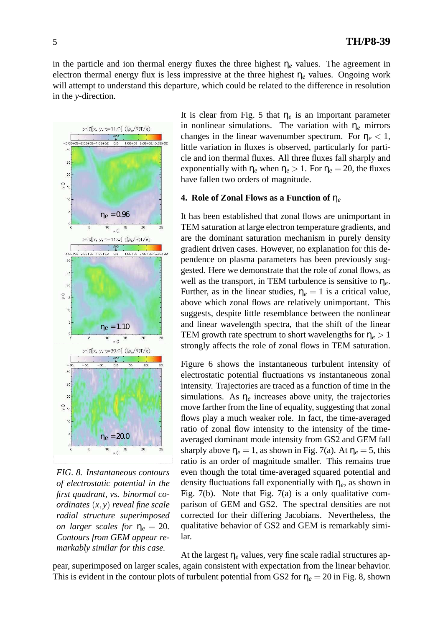in the particle and ion thermal energy fluxes the three highest  $\eta_e$  values. The agreement in electron thermal energy flux is less impressive at the three highest  $\eta_e$  values. Ongoing work will attempt to understand this departure, which could be related to the difference in resolution in the *y*-direction.



*FIG. 8. Instantaneous contours of electrostatic potential in the first quadrant, vs. binormal coordinates* (*x*, *y*) *reveal fine scale radial structure superimposed on larger scales for*  $\eta_e = 20$ . *Contours from GEM appear remarkably similar for this case.*

It is clear from Fig. 5 that  $\eta_e$  is an important parameter in nonlinear simulations. The variation with η*<sup>e</sup>* mirrors changes in the linear wavenumber spectrum. For  $\eta_e < 1$ , little variation in fluxes is observed, particularly for particle and ion thermal fluxes. All three fluxes fall sharply and exponentially with  $\eta_e$  when  $\eta_e > 1$ . For  $\eta_e = 20$ , the fluxes have fallen two orders of magnitude.

## **4. Role of Zonal Flows as a Function of** η*<sup>e</sup>*

It has been established that zonal flows are unimportant in TEM saturation at large electron temperature gradients, and are the dominant saturation mechanism in purely density gradient driven cases. However, no explanation for this dependence on plasma parameters has been previously suggested. Here we demonstrate that the role of zonal flows, as well as the transport, in TEM turbulence is sensitive to η*e*. Further, as in the linear studies,  $\eta_e = 1$  is a critical value, above which zonal flows are relatively unimportant. This suggests, despite little resemblance between the nonlinear and linear wavelength spectra, that the shift of the linear TEM growth rate spectrum to short wavelengths for  $\eta_e > 1$ strongly affects the role of zonal flows in TEM saturation.

Figure 6 shows the instantaneous turbulent intensity of electrostatic potential fluctuations vs instantaneous zonal intensity. Trajectories are traced as a function of time in the simulations. As  $\eta_e$  increases above unity, the trajectories move farther from the line of equality, suggesting that zonal flows play a much weaker role. In fact, the time-averaged ratio of zonal flow intensity to the intensity of the timeaveraged dominant mode intensity from GS2 and GEM fall sharply above  $\eta_e = 1$ , as shown in Fig. 7(a). At  $\eta_e = 5$ , this ratio is an order of magnitude smaller. This remains true even though the total time-averaged squared potential and density fluctuations fall exponentially with η*e*, as shown in Fig. 7(b). Note that Fig. 7(a) is a only qualitative comparison of GEM and GS2. The spectral densities are not corrected for their differing Jacobians. Nevertheless, the qualitative behavior of GS2 and GEM is remarkably similar.

At the largest  $\eta_e$  values, very fine scale radial structures appear, superimposed on larger scales, again consistent with expectation from the linear behavior. This is evident in the contour plots of turbulent potential from GS2 for  $\eta_e = 20$  in Fig. 8, shown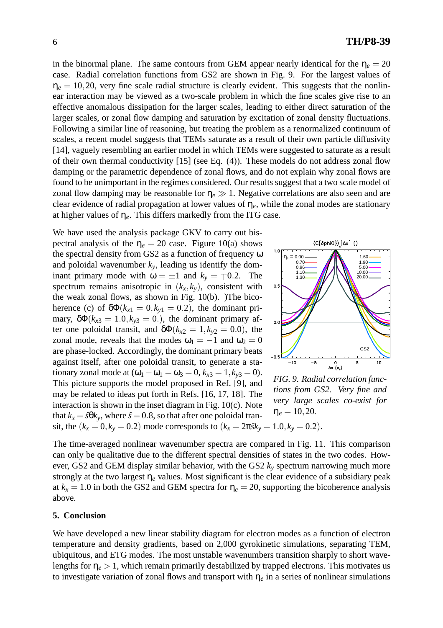in the binormal plane. The same contours from GEM appear nearly identical for the  $\eta_e = 20$ case. Radial correlation functions from GS2 are shown in Fig. 9. For the largest values of  $\eta_e = 10, 20$ , very fine scale radial structure is clearly evident. This suggests that the nonlinear interaction may be viewed as a two-scale problem in which the fine scales give rise to an effective anomalous dissipation for the larger scales, leading to either direct saturation of the larger scales, or zonal flow damping and saturation by excitation of zonal density fluctuations. Following a similar line of reasoning, but treating the problem as a renormalized continuum of scales, a recent model suggests that TEMs saturate as a result of their own particle diffusivity [14], vaguely resembling an earlier model in which TEMs were suggested to saturate as a result of their own thermal conductivity [15] (see Eq. (4)). These models do not address zonal flow damping or the parametric dependence of zonal flows, and do not explain why zonal flows are found to be unimportant in the regimes considered. Our results suggest that a two scale model of zonal flow damping may be reasonable for  $\eta_e \gg 1$ . Negative correlations are also seen and are clear evidence of radial propagation at lower values of η*e*, while the zonal modes are stationary at higher values of  $\eta_e$ . This differs markedly from the ITG case.

We have used the analysis package GKV to carry out bispectral analysis of the  $\eta_e = 20$  case. Figure 10(a) shows the spectral density from GS2 as a function of frequency ω and poloidal wavenumber  $k<sub>y</sub>$ , leading us identify the dominant primary mode with  $\omega = \pm 1$  and  $k_y = \mp 0.2$ . The spectrum remains anisotropic in  $(k_x, k_y)$ , consistent with the weak zonal flows, as shown in Fig. 10(b). )The bicoherence (c) of  $\delta \Phi(k_{x1} = 0, k_{y1} = 0.2)$ , the dominant primary,  $\delta \Phi(k_{x3} = 1.0, k_{y3} = 0.)$ , the dominant primary after one poloidal transit, and  $\delta \Phi(k_{x2} = 1, k_{y2} = 0.0)$ , the zonal mode, reveals that the modes  $\omega_1 = -1$  and  $\omega_2 = 0$ are phase-locked. Accordingly, the dominant primary beats against itself, after one poloidal transit, to generate a stationary zonal mode at  $(\omega_1 - \omega_1 = \omega_3 = 0, k_{x3} = 1, k_{y3} = 0)$ . This picture supports the model proposed in Ref. [9], and may be related to ideas put forth in Refs. [16, 17, 18]. The interaction is shown in the inset diagram in Fig. 10(c). Note that  $k_x = \hat{s} \theta k_y$ , where  $\hat{s} = 0.8$ , so that after one poloidal tran-



*FIG. 9. Radial correlation functions from GS2. Very fine and very large scales co-exist for*  $\eta_e = 10, 20.$ 

sit, the  $(k_x = 0, k_y = 0.2)$  mode corresponds to  $(k_x = 2\pi s k_y = 1.0, k_y = 0.2)$ .

The time-averaged nonlinear wavenumber spectra are compared in Fig. 11. This comparison can only be qualitative due to the different spectral densities of states in the two codes. However, GS2 and GEM display similar behavior, with the GS2 *k<sup>y</sup>* spectrum narrowing much more strongly at the two largest η*<sup>e</sup>* values. Most significant is the clear evidence of a subsidiary peak at  $k_x = 1.0$  in both the GS2 and GEM spectra for  $\eta_e = 20$ , supporting the bicoherence analysis above.

### **5. Conclusion**

We have developed a new linear stability diagram for electron modes as a function of electron temperature and density gradients, based on 2,000 gyrokinetic simulations, separating TEM, ubiquitous, and ETG modes. The most unstable wavenumbers transition sharply to short wavelengths for  $\eta_e > 1$ , which remain primarily destabilized by trapped electrons. This motivates us to investigate variation of zonal flows and transport with  $\eta_e$  in a series of nonlinear simulations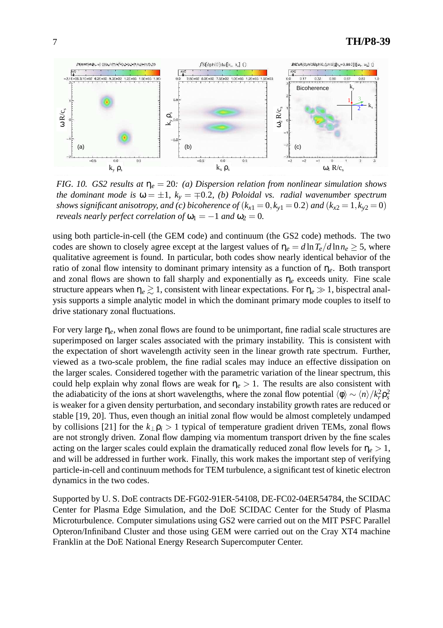

*FIG. 10. GS2 results at* η*<sup>e</sup>* = 20*: (a) Dispersion relation from nonlinear simulation shows the dominant mode is*  $\omega = \pm 1$ ,  $k_y = \mp 0.2$ , *(b) Poloidal vs. radial wavenumber spectrum shows significant anisotropy, and (c) bicoherence of*  $(k_{x1} = 0, k_{y1} = 0.2)$  *and*  $(k_{x2} = 1, k_{y2} = 0)$ *reveals nearly perfect correlation of*  $\omega_1 = -1$  *and*  $\omega_2 = 0$ *.* 

using both particle-in-cell (the GEM code) and continuum (the GS2 code) methods. The two codes are shown to closely agree except at the largest values of  $\eta_e = d \ln T_e / d \ln n_e \geq 5$ , where qualitative agreement is found. In particular, both codes show nearly identical behavior of the ratio of zonal flow intensity to dominant primary intensity as a function of η*e*. Both transport and zonal flows are shown to fall sharply and exponentially as  $\eta_e$  exceeds unity. Fine scale structure appears when  $\eta_e \gtrsim 1$ , consistent with linear expectations. For  $\eta_e \gg 1$ , bispectral analysis supports a simple analytic model in which the dominant primary mode couples to itself to drive stationary zonal fluctuations.

For very large η*e*, when zonal flows are found to be unimportant, fine radial scale structures are superimposed on larger scales associated with the primary instability. This is consistent with the expectation of short wavelength activity seen in the linear growth rate spectrum. Further, viewed as a two-scale problem, the fine radial scales may induce an effective dissipation on the larger scales. Considered together with the parametric variation of the linear spectrum, this could help explain why zonal flows are weak for  $\eta_e > 1$ . The results are also consistent with the adiabaticity of the ions at short wavelengths, where the zonal flow potential  $\langle \phi \rangle \sim \langle n \rangle / k_r^2 \rho_s^2$ is weaker for a given density perturbation, and secondary instability growth rates are reduced or stable [19, 20]. Thus, even though an initial zonal flow would be almost completely undamped by collisions [21] for the  $k_{\perp}$  $\rho_i > 1$  typical of temperature gradient driven TEMs, zonal flows are not strongly driven. Zonal flow damping via momentum transport driven by the fine scales acting on the larger scales could explain the dramatically reduced zonal flow levels for  $\eta_e > 1$ , and will be addressed in further work. Finally, this work makes the important step of verifying particle-in-cell and continuum methods for TEM turbulence, a significant test of kinetic electron dynamics in the two codes.

Supported by U. S. DoE contracts DE-FG02-91ER-54108, DE-FC02-04ER54784, the SCIDAC Center for Plasma Edge Simulation, and the DoE SCIDAC Center for the Study of Plasma Microturbulence. Computer simulations using GS2 were carried out on the MIT PSFC Parallel Opteron/Infiniband Cluster and those using GEM were carried out on the Cray XT4 machine Franklin at the DoE National Energy Research Supercomputer Center.